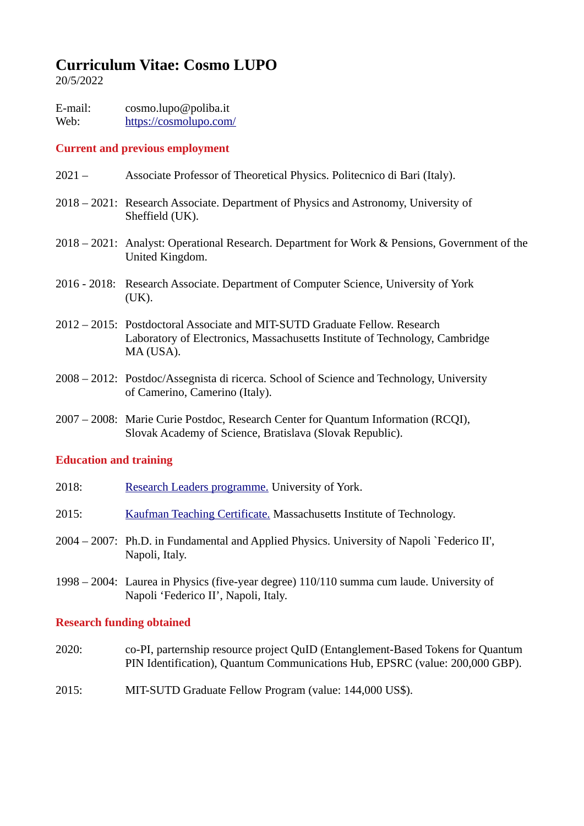# **Curriculum Vitae: Cosmo LUPO**

20/5/2022

E-mail: cosmo.lupo@poliba.it Web: <https://cosmolupo.com/>

### **Current and previous employment**

- 2021 Associate Professor of Theoretical Physics. Politecnico di Bari (Italy).
- 2018 2021: Research Associate. Department of Physics and Astronomy, University of Sheffield (UK).
- 2018 2021: Analyst: Operational Research. Department for Work & Pensions, Government of the United Kingdom.
- 2016 2018: Research Associate. Department of Computer Science, University of York (UK).
- 2012 2015: Postdoctoral Associate and MIT-SUTD Graduate Fellow. Research Laboratory of Electronics, Massachusetts Institute of Technology, Cambridge MA (USA).
- 2008 2012: Postdoc/Assegnista di ricerca. School of Science and Technology, University of Camerino, Camerino (Italy).
- 2007 2008: Marie Curie Postdoc, Research Center for Quantum Information (RCQI), Slovak Academy of Science, Bratislava (Slovak Republic).

### **Education and training**

- 2018: [Research Leaders programme.](https://www.york.ac.uk/admin/hr/learning-and-development/leadership-and-management/research-leaders/) University of York.
- 2015: [Kaufman Teaching Certificate.](https://tll.mit.edu/ktcp) Massachusetts Institute of Technology.
- 2004 2007: Ph.D. in Fundamental and Applied Physics. University of Napoli `Federico II', Napoli, Italy.
- 1998 2004: Laurea in Physics (five-year degree) 110/110 summa cum laude. University of Napoli 'Federico II', Napoli, Italy.

### **Research funding obtained**

- 2020: co-PI, parternship resource project QuID (Entanglement-Based Tokens for Quantum PIN Identification), Quantum Communications Hub, EPSRC (value: 200,000 GBP).
- 2015: MIT-SUTD Graduate Fellow Program (value: 144,000 US\$).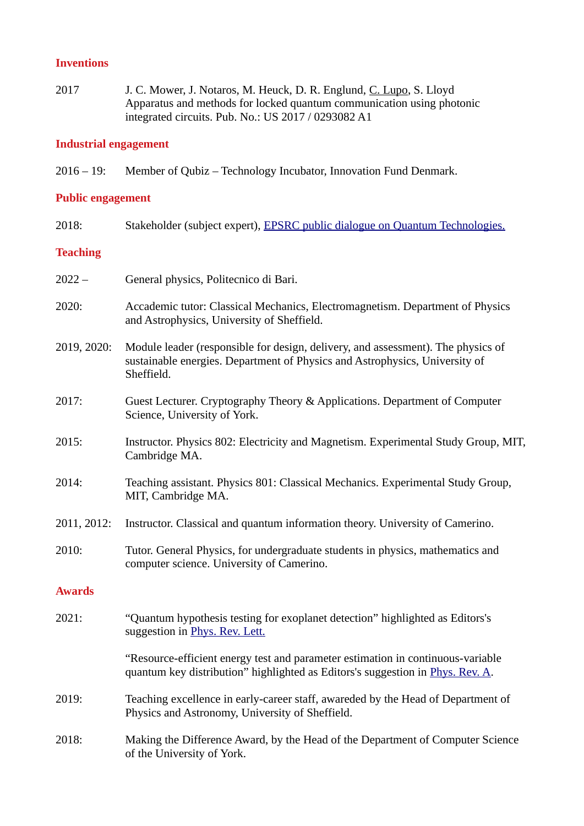## **Inventions**

2017 J. C. Mower, J. Notaros, M. Heuck, D. R. Englund, C. Lupo, S. Lloyd Apparatus and methods for locked quantum communication using photonic integrated circuits. Pub. No.: US 2017 / 0293082 A1

## **Industrial engagement**

2016 – 19: Member of Qubiz – Technology Incubator, Innovation Fund Denmark.

## **Public engagement**

| 2018:           | Stakeholder (subject expert), <b>EPSRC</b> public dialogue on Quantum Technologies.                                                                                           |
|-----------------|-------------------------------------------------------------------------------------------------------------------------------------------------------------------------------|
| <b>Teaching</b> |                                                                                                                                                                               |
| $2022 -$        | General physics, Politecnico di Bari.                                                                                                                                         |
| 2020:           | Accademic tutor: Classical Mechanics, Electromagnetism. Department of Physics<br>and Astrophysics, University of Sheffield.                                                   |
| 2019, 2020:     | Module leader (responsible for design, delivery, and assessment). The physics of<br>sustainable energies. Department of Physics and Astrophysics, University of<br>Sheffield. |
| 2017:           | Guest Lecturer. Cryptography Theory & Applications. Department of Computer<br>Science, University of York.                                                                    |
| 2015:           | Instructor. Physics 802: Electricity and Magnetism. Experimental Study Group, MIT,<br>Cambridge MA.                                                                           |
| 2014:           | Teaching assistant. Physics 801: Classical Mechanics. Experimental Study Group,<br>MIT, Cambridge MA.                                                                         |
| 2011, 2012:     | Instructor. Classical and quantum information theory. University of Camerino.                                                                                                 |
| 2010:           | Tutor. General Physics, for undergraduate students in physics, mathematics and<br>computer science. University of Camerino.                                                   |
| <b>Awards</b>   |                                                                                                                                                                               |
| 2021:           | "Quantum hypothesis testing for exoplanet detection" highlighted as Editors's<br>suggestion in Phys. Rev. Lett.                                                               |
|                 | "Resource-efficient energy test and parameter estimation in continuous-variable<br>quantum key distribution" highlighted as Editors's suggestion in Phys. Rev. A.             |
| 2019:           | Teaching excellence in early-career staff, awareded by the Head of Department of<br>Physics and Astronomy, University of Sheffield.                                           |
| 2018:           | Making the Difference Award, by the Head of the Department of Computer Science<br>of the University of York.                                                                  |